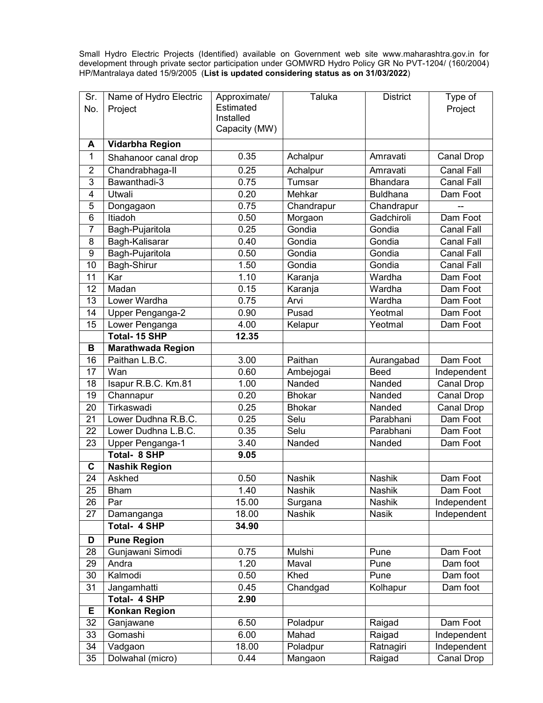Small Hydro Electric Projects (Identified) available on Government web site www.maharashtra.gov.in for development through private sector participation under GOMWRD Hydro Policy GR No PVT-1204/ (160/2004) HP/Mantralaya dated 15/9/2005 (**List is updated considering status as on 31/03/2022**)

| Sr.             | Name of Hydro Electric          | Approximate/           | <b>Taluka</b>      | <b>District</b>          | Type of                         |
|-----------------|---------------------------------|------------------------|--------------------|--------------------------|---------------------------------|
| No.             | Project                         | Estimated<br>Installed |                    |                          | Project                         |
|                 |                                 | Capacity (MW)          |                    |                          |                                 |
| A               | Vidarbha Region                 |                        |                    |                          |                                 |
| 1               | Shahanoor canal drop            | 0.35                   | Achalpur           | Amravati                 | Canal Drop                      |
| $\overline{2}$  |                                 | 0.25                   |                    | Amravati                 | <b>Canal Fall</b>               |
| 3               | Chandrabhaga-II<br>Bawanthadi-3 | 0.75                   | Achalpur<br>Tumsar | <b>Bhandara</b>          | Canal Fall                      |
| 4               | Utwali                          | 0.20                   | Mehkar             | <b>Buldhana</b>          |                                 |
| 5               |                                 | 0.75                   |                    |                          | Dam Foot                        |
| 6               | Dongagaon<br>Itiadoh            | 0.50                   | Chandrapur         | Chandrapur<br>Gadchiroli | Dam Foot                        |
| $\overline{7}$  |                                 | 0.25                   | Morgaon<br>Gondia  |                          |                                 |
| 8               | Bagh-Pujaritola                 | 0.40                   | Gondia             | Gondia<br>Gondia         | Canal Fall<br><b>Canal Fall</b> |
|                 | Bagh-Kalisarar                  | 0.50                   | Gondia             | Gondia                   |                                 |
| 9<br>10         | Bagh-Pujaritola                 | 1.50                   | Gondia             | Gondia                   | <b>Canal Fall</b><br>Canal Fall |
| 11              | Bagh-Shirur<br>Kar              | 1.10                   |                    | Wardha                   |                                 |
|                 |                                 |                        | Karanja            |                          | Dam Foot                        |
| 12              | Madan<br>Lower Wardha           | 0.15                   | Karanja            | Wardha                   | Dam Foot                        |
| 13              |                                 | 0.75                   | Arvi               | Wardha                   | Dam Foot                        |
| 14              | Upper Penganga-2                | 0.90                   | Pusad              | Yeotmal                  | Dam Foot                        |
| 15              | Lower Penganga                  | 4.00                   | Kelapur            | Yeotmal                  | Dam Foot                        |
|                 | <b>Total-15 SHP</b>             | 12.35                  |                    |                          |                                 |
| В               | <b>Marathwada Region</b>        |                        |                    |                          |                                 |
| 16              | Paithan L.B.C.                  | 3.00                   | Paithan            | Aurangabad               | Dam Foot                        |
| 17              | Wan                             | 0.60                   | Ambejogai          | <b>Beed</b>              | Independent                     |
| 18              | Isapur R.B.C. Km.81             | 1.00                   | Nanded             | Nanded                   | Canal Drop                      |
| 19              | Channapur                       | 0.20                   | <b>Bhokar</b>      | Nanded                   | Canal Drop                      |
| 20              | Tirkaswadi                      | 0.25                   | <b>Bhokar</b>      | Nanded                   | Canal Drop                      |
| 21              | Lower Dudhna R.B.C.             | 0.25                   | Selu               | Parabhani                | Dam Foot                        |
| 22              | Lower Dudhna L.B.C.             | 0.35                   | Selu               | Parabhani                | Dam Foot                        |
| 23              | Upper Penganga-1                | 3.40                   | Nanded             | Nanded                   | Dam Foot                        |
|                 | <b>Total- 8 SHP</b>             | 9.05                   |                    |                          |                                 |
| C               | <b>Nashik Region</b>            |                        |                    |                          |                                 |
| 24              | Askhed                          | 0.50                   | <b>Nashik</b>      | <b>Nashik</b>            | Dam Foot                        |
| $\overline{25}$ | <b>Bham</b>                     | 1.40                   | Nashik             | Nashik                   | Dam Foot                        |
| 26              | Par                             | 15.00                  | Surgana            | Nashik                   | Independent                     |
| 27              | Damanganga                      | 18.00                  | Nashik             | <b>Nasik</b>             | Independent                     |
|                 | <b>Total- 4 SHP</b>             | 34.90                  |                    |                          |                                 |
| D               | <b>Pune Region</b>              |                        |                    |                          |                                 |
| 28              | Gunjawani Simodi                | 0.75                   | Mulshi             | Pune                     | Dam Foot                        |
| 29              | Andra                           | 1.20                   | Maval              | Pune                     | Dam foot                        |
| 30              | Kalmodi                         | 0.50                   | Khed               | Pune                     | Dam foot                        |
| $\overline{31}$ | Jangamhatti                     | 0.45                   | Chandgad           | Kolhapur                 | Dam foot                        |
|                 | <b>Total- 4 SHP</b>             | 2.90                   |                    |                          |                                 |
| Е               | Konkan Region                   |                        |                    |                          |                                 |
| 32              | Ganjawane                       | 6.50                   | Poladpur           | Raigad                   | Dam Foot                        |
| 33              | Gomashi                         | 6.00                   | Mahad              | Raigad                   | Independent                     |
| 34              | Vadgaon                         | 18.00                  | Poladpur           | Ratnagiri                | Independent                     |
| 35              | Dolwahal (micro)                | 0.44                   | Mangaon            | Raigad                   | Canal Drop                      |